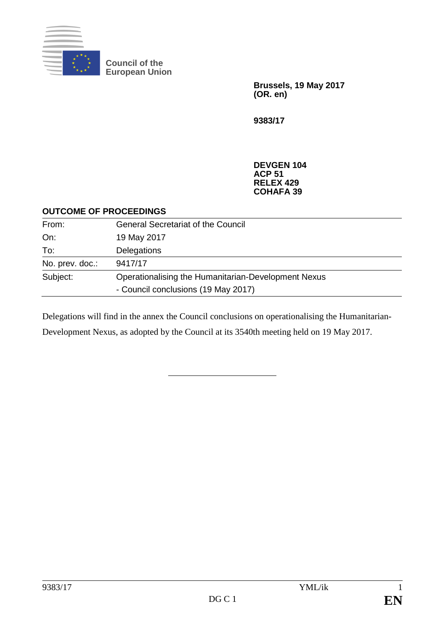

**Council of the European Union**

> **Brussels, 19 May 2017 (OR. en)**

**9383/17**

**DEVGEN 104 ACP 51 RELEX 429 COHAFA 39**

## **OUTCOME OF PROCEEDINGS**

| From:           | <b>General Secretariat of the Council</b>           |
|-----------------|-----------------------------------------------------|
| On:             | 19 May 2017                                         |
| To:             | Delegations                                         |
| No. prev. doc.: | 9417/17                                             |
| Subject:        | Operationalising the Humanitarian-Development Nexus |
|                 | - Council conclusions (19 May 2017)                 |

Delegations will find in the annex the Council conclusions on operationalising the Humanitarian-Development Nexus, as adopted by the Council at its 3540th meeting held on 19 May 2017.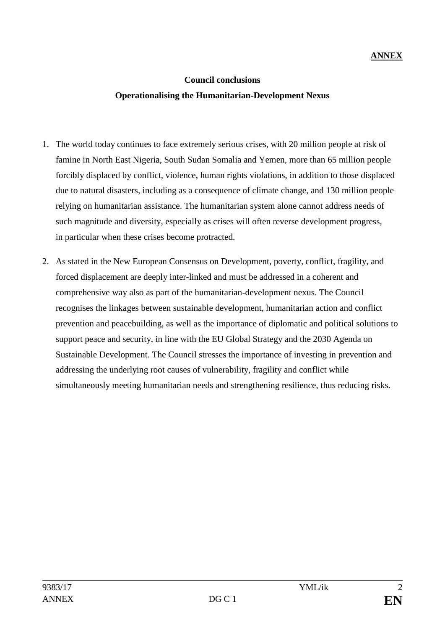## **ANNEX**

## **Council conclusions Operationalising the Humanitarian-Development Nexus**

- 1. The world today continues to face extremely serious crises, with 20 million people at risk of famine in North East Nigeria, South Sudan Somalia and Yemen, more than 65 million people forcibly displaced by conflict, violence, human rights violations, in addition to those displaced due to natural disasters, including as a consequence of climate change, and 130 million people relying on humanitarian assistance. The humanitarian system alone cannot address needs of such magnitude and diversity, especially as crises will often reverse development progress, in particular when these crises become protracted.
- 2. As stated in the New European Consensus on Development, poverty, conflict, fragility, and forced displacement are deeply inter-linked and must be addressed in a coherent and comprehensive way also as part of the humanitarian-development nexus. The Council recognises the linkages between sustainable development, humanitarian action and conflict prevention and peacebuilding, as well as the importance of diplomatic and political solutions to support peace and security, in line with the EU Global Strategy and the 2030 Agenda on Sustainable Development. The Council stresses the importance of investing in prevention and addressing the underlying root causes of vulnerability, fragility and conflict while simultaneously meeting humanitarian needs and strengthening resilience, thus reducing risks.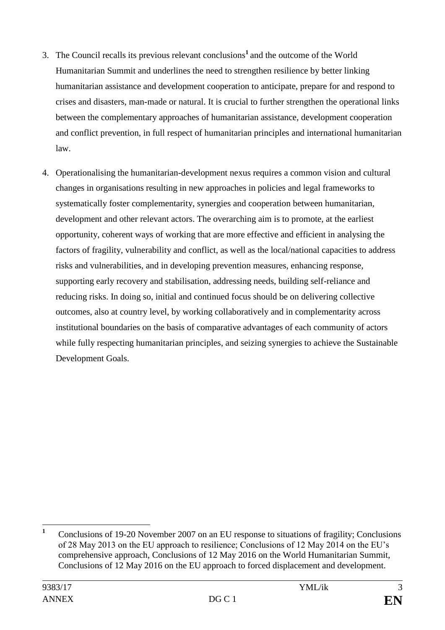- 3. The Council recalls its previous relevant conclusions**<sup>1</sup>** and the outcome of the World Humanitarian Summit and underlines the need to strengthen resilience by better linking humanitarian assistance and development cooperation to anticipate, prepare for and respond to crises and disasters, man-made or natural. It is crucial to further strengthen the operational links between the complementary approaches of humanitarian assistance, development cooperation and conflict prevention, in full respect of humanitarian principles and international humanitarian law.
- 4. Operationalising the humanitarian-development nexus requires a common vision and cultural changes in organisations resulting in new approaches in policies and legal frameworks to systematically foster complementarity, synergies and cooperation between humanitarian, development and other relevant actors. The overarching aim is to promote, at the earliest opportunity, coherent ways of working that are more effective and efficient in analysing the factors of fragility, vulnerability and conflict, as well as the local/national capacities to address risks and vulnerabilities, and in developing prevention measures, enhancing response, supporting early recovery and stabilisation, addressing needs, building self-reliance and reducing risks. In doing so, initial and continued focus should be on delivering collective outcomes, also at country level, by working collaboratively and in complementarity across institutional boundaries on the basis of comparative advantages of each community of actors while fully respecting humanitarian principles, and seizing synergies to achieve the Sustainable Development Goals.

 $\mathbf{1}$ **<sup>1</sup>** Conclusions of 19-20 November 2007 on an EU response to situations of fragility; Conclusions of 28 May 2013 on the EU approach to resilience; Conclusions of 12 May 2014 on the EU's comprehensive approach, Conclusions of 12 May 2016 on the World Humanitarian Summit, Conclusions of 12 May 2016 on the EU approach to forced displacement and development.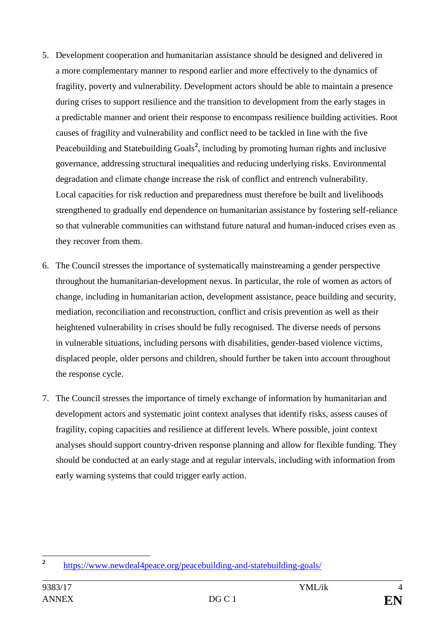- 5. Development cooperation and humanitarian assistance should be designed and delivered in a more complementary manner to respond earlier and more effectively to the dynamics of fragility, poverty and vulnerability. Development actors should be able to maintain a presence during crises to support resilience and the transition to development from the early stages in a predictable manner and orient their response to encompass resilience building activities. Root causes of fragility and vulnerability and conflict need to be tackled in line with the five Peacebuilding and Statebuilding Goals<sup>2</sup>, including by promoting human rights and inclusive governance, addressing structural inequalities and reducing underlying risks. Environmental degradation and climate change increase the risk of conflict and entrench vulnerability. Local capacities for risk reduction and preparedness must therefore be built and livelihoods strengthened to gradually end dependence on humanitarian assistance by fostering self-reliance so that vulnerable communities can withstand future natural and human-induced crises even as they recover from them.
- 6. The Council stresses the importance of systematically mainstreaming a gender perspective throughout the humanitarian-development nexus. In particular, the role of women as actors of change, including in humanitarian action, development assistance, peace building and security, mediation, reconciliation and reconstruction, conflict and crisis prevention as well as their heightened vulnerability in crises should be fully recognised. The diverse needs of persons in vulnerable situations, including persons with disabilities, gender-based violence victims, displaced people, older persons and children, should further be taken into account throughout the response cycle.
- 7. The Council stresses the importance of timely exchange of information by humanitarian and development actors and systematic joint context analyses that identify risks, assess causes of fragility, coping capacities and resilience at different levels. Where possible, joint context analyses should support country-driven response planning and allow for flexible funding. They should be conducted at an early stage and at regular intervals, including with information from early warning systems that could trigger early action.

 **2** <https://www.newdeal4peace.org/peacebuilding-and-statebuilding-goals/>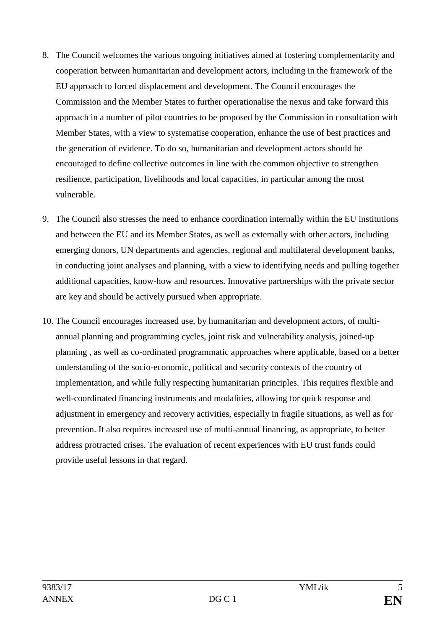- 8. The Council welcomes the various ongoing initiatives aimed at fostering complementarity and cooperation between humanitarian and development actors, including in the framework of the EU approach to forced displacement and development. The Council encourages the Commission and the Member States to further operationalise the nexus and take forward this approach in a number of pilot countries to be proposed by the Commission in consultation with Member States, with a view to systematise cooperation, enhance the use of best practices and the generation of evidence. To do so, humanitarian and development actors should be encouraged to define collective outcomes in line with the common objective to strengthen resilience, participation, livelihoods and local capacities, in particular among the most vulnerable.
- 9. The Council also stresses the need to enhance coordination internally within the EU institutions and between the EU and its Member States, as well as externally with other actors, including emerging donors, UN departments and agencies, regional and multilateral development banks, in conducting joint analyses and planning, with a view to identifying needs and pulling together additional capacities, know-how and resources. Innovative partnerships with the private sector are key and should be actively pursued when appropriate.
- 10. The Council encourages increased use, by humanitarian and development actors, of multiannual planning and programming cycles, joint risk and vulnerability analysis, joined-up planning , as well as co-ordinated programmatic approaches where applicable, based on a better understanding of the socio-economic, political and security contexts of the country of implementation, and while fully respecting humanitarian principles. This requires flexible and well-coordinated financing instruments and modalities, allowing for quick response and adjustment in emergency and recovery activities, especially in fragile situations, as well as for prevention. It also requires increased use of multi-annual financing, as appropriate, to better address protracted crises. The evaluation of recent experiences with EU trust funds could provide useful lessons in that regard.